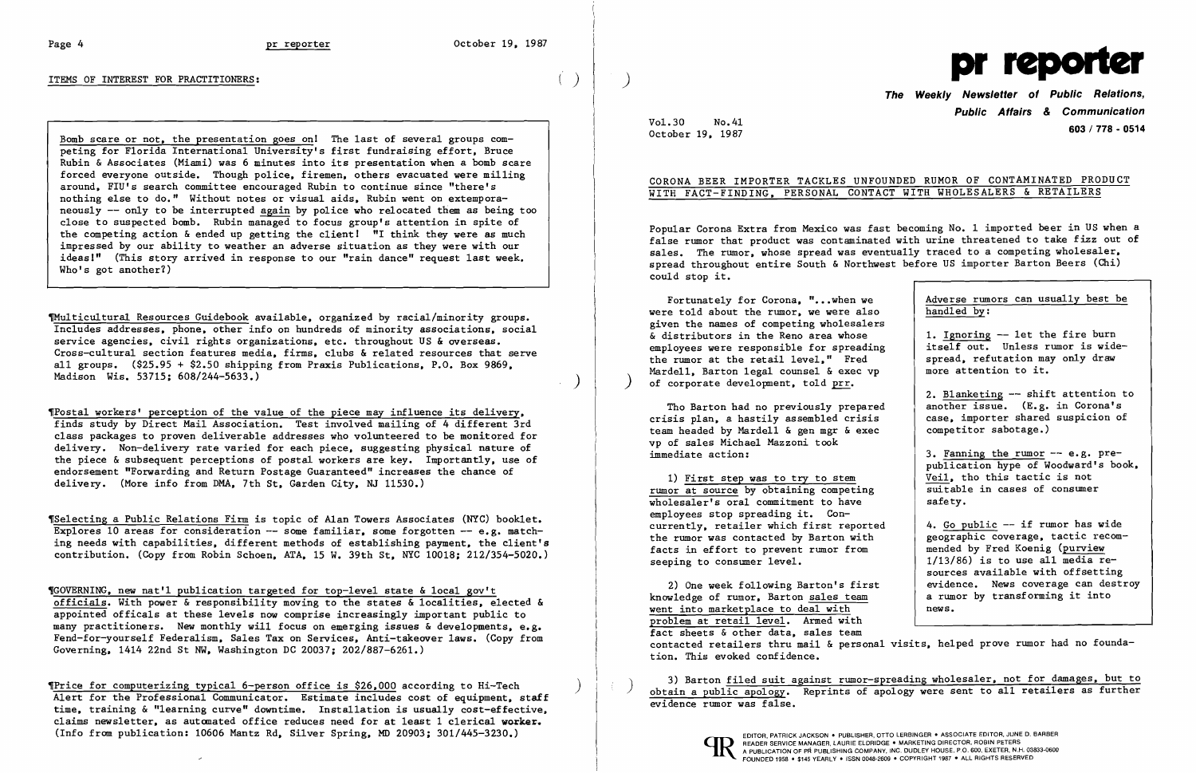### ITEMS OF INTEREST FOR PRACTITIONERS:

Bomb scare or not, the presentation goes on! The last of several groups competing for Florida International University's first fundraising effort, Bruce Rubin &Associates (Miami) was 6 minutes into its presentation when a bomb scare forced everyone outside. Though police, firemen, others evacuated were milling around, FlU's search committee encouraged Rubin to continue since "there's nothing else to do." Without notes or visual aids, Rubin went on extempora neously -- only to be interrupted again by police who relocated them as being too close to suspected bomb. Rubin managed to focus group's attention in spite of the competing action  $\&$  ended up getting the client!  $^{\text{II}}$  I think they were as much impressed by our ability to weather an adverse situation as they were with our ideasl" (This story arrived in response to our "rain dance" request last week. Who's got another?)

~u1ticu1tural Resources Guidebook available, organized by racial/minority groups. Includes addresses, phone, other info on hundreds of minority associations, social service agencies, civil rights organizations, etc. throughout US & overseas. Cross-cultural section features media, firms, clubs & related resources that serve all groups. (\$25.95 + \$2.50 shipping from Praxis Publications, P.O. Box 9869, Madison Wis. 53715; 608/244-5633.)

,Posta1 workers' perception of the value of the piece may influence its delivery, finds study by Direct Mail Association. Test involved mailing of 4 different 3rd class packages to proven deliverable addresses who volunteered to be monitored for delivery. Non-delivery rate varied for each piece, suggesting physical nature of the piece  $\&$  subsequent perceptions of postal workers are key. Importantly, use of endorsement "Forwarding and Return Postage Guaranteed" increases the chance of delivery. (More info from DMA, 7th St, Garden City, NJ 11530.)

'Se1ecting a Public Relations Firm is topic of Alan Towers Associates (NYC) booklet. Explores 10 areas for consideration  $-$ - some familiar, some forgotten  $-$  e.g. matching needs with capabilities, different methods of establishing payment, the client's contribution. (Copy from Robin Schoen, ATA, 15 W. 39th St, NYC 10018: 212/354-5020.)

Tho Barton had no previously prepared crisis plan, a hastily assembled crisis team headed by Mardell  $\&$  gen mgr  $\&$  exec vp of sales Michael Mazzoni took immediate action:

1) First step was to try to stem rumor at source by obtaining competing wholesaler's oral commitment to have employees stop spreading it. Concurrently, retailer which first reported the rumor was contacted by Barton with facts in effort to prevent rumor from seeping to consumer level.

,GOVERNING, new nat'l publication targeted for top-level state &local gov't officials. With power & responsibility moving to the states &localities, elected & appointed offica1s at these levels now comprise increasingly important public to many practitioners. New monthly will focus on emerging issues & developments, e.g. Fend-for-yourse1f Federalism, Sales Tax on Services, Anti-takeover laws. (Copy from Governing, 1414 22nd St NW, Washington DC 20037: 202/887-6261.)

2) One week following Barton's first knowledge of rumor, Barton sales team went into marketplace to deal with problem at retail level. Armed with fact sheets & other data, sales team contacted retailers thru mail & personal visits, helped prove rumor had no foundation. This evoked confidence.

3) Barton filed suit against rumor-spreading wholesaler, not for damages, but to obtain a public apology. Reprints of apology were sent to all retailers as further evidence rumor was false.

'Price for computerizing typical 6-person office is \$26,000 according to Hi-Tech ) Alert for the Professional Communicator. Estimate includes cost of equipment, staff time, training & "learning curve" downtime. Installation is usually cost-effective, claims newsletter, as automated office reduces need for at least 1 clerical worker. (Info from publication: 10606 Mantz Rd, Silver Spring, MD 20903j 301/445-3230.)



The Weekly Newsletter of Public Relations, Public Affairs & Communication 603/778 - <sup>0514</sup> October 19, 1987

Vol-30 No.41

## CORONA BEER IMPORTER TACKLES UNFOUNDED RUMOR OF CONTAMINATED PRODUCT WITH FACT-FINDING, PERSONAL CONTACT WITH WHOLESALERS & RETAILERS

Popular Corona Extra from Mexico was fast becoming No. 1 imported beer in US when a false rumor that product was contaminated with urine threatened to take fizz out of sales. The rumor, whose spread was eventually traced to a competing wholesaler, spread throughout entire South & Northwest before US importer Barton Beers (Chi) could stop it.

were told about the rumor, we were also Fortunately for Corona, "... when we given the names of competing wholesalers & distributors in the Reno area whose employees were responsible for spreading the rumor at the retail level," Fred Mardell, Barton legal counsel & exec vp ) of corporate development, told prr.

| r Corona, "when we<br>e rumor, we were also<br>f competing wholesalers | Adverse rumors can usually best be<br>handled by:                                                         |
|------------------------------------------------------------------------|-----------------------------------------------------------------------------------------------------------|
| the Reno area whose<br>sponsible for spreading<br>retail level," Fred  | 1. Ignoring -- let the fire burn<br>itself out. Unless rumor is wide-<br>spread, refutation may only draw |
| egal counsel & exec vp<br>lopment, told prr.                           | more attention to it.                                                                                     |
|                                                                        | 2. Blanketing -- shift attention to                                                                       |
| no previously prepared                                                 | another issue. (E.g. in Corona's                                                                          |
| stily assembled crisis                                                 | case, importer shared suspicion of                                                                        |
| rdell & gen mgr & exec<br>el Mazzoni took                              | competitor sabotage.)                                                                                     |
|                                                                        | 3. Fanning the rumor -- e.g. pre-<br>publication hype of Woodward's book,                                 |
| vas to try to stem                                                     | Veil, tho this tactic is not                                                                              |
| y obtaining competing                                                  | suitable in cases of consumer                                                                             |
| commitment to have                                                     | safety.                                                                                                   |
| reading it. Con-                                                       |                                                                                                           |
| er which first reported                                                | 4. Go public -- if rumor has wide                                                                         |
| tacted by Barton with                                                  | geographic coverage, tactic recom-                                                                        |
| prevent rumor from                                                     | mended by Fred Koenig (purview                                                                            |
| er 1eve1.                                                              | $1/13/86$ ) is to use all media re-                                                                       |
|                                                                        | sources available with offsetting                                                                         |
| Llowing Barton's first                                                 | evidence. News coverage can destroy                                                                       |
| r, Barton sales team                                                   | a rumor by transforming it into                                                                           |
| lace to deal with                                                      | news.                                                                                                     |
| 1 aval Armad with                                                      |                                                                                                           |